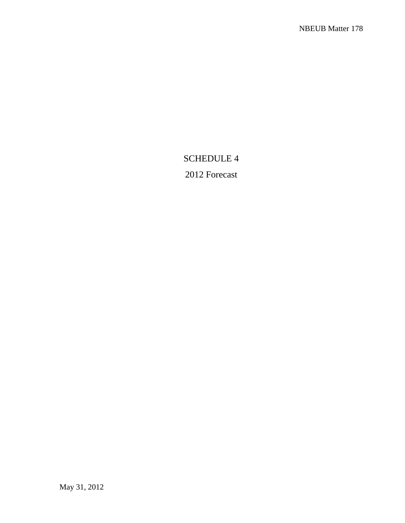# SCHEDULE 4

# 2012 Forecast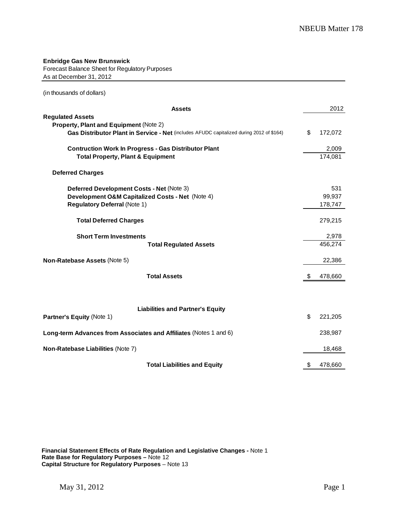**Enbridge Gas New Brunswick** Forecast Balance Sheet for Regulatory Purposes As at December 31, 2012

(in thousands of dollars)

| <b>Assets</b>                                                                                               | 2012             |
|-------------------------------------------------------------------------------------------------------------|------------------|
| <b>Regulated Assets</b><br>Property, Plant and Equipment (Note 2)                                           |                  |
| Gas Distributor Plant in Service - Net (includes AFUDC capitalized during 2012 of \$164)                    | \$<br>172,072    |
| <b>Contruction Work In Progress - Gas Distributor Plant</b><br><b>Total Property, Plant &amp; Equipment</b> | 2,009<br>174,081 |
| <b>Deferred Charges</b>                                                                                     |                  |
| Deferred Development Costs - Net (Note 3)                                                                   | 531              |
| Development O&M Capitalized Costs - Net (Note 4)                                                            | 99,937           |
| <b>Regulatory Deferral (Note 1)</b>                                                                         | 178,747          |
| <b>Total Deferred Charges</b>                                                                               | 279,215          |
| <b>Short Term Investments</b>                                                                               | 2,978            |
| <b>Total Regulated Assets</b>                                                                               | 456,274          |
| Non-Ratebase Assets (Note 5)                                                                                | 22,386           |
| <b>Total Assets</b>                                                                                         | \$<br>478,660    |
|                                                                                                             |                  |
| <b>Liabilities and Partner's Equity</b>                                                                     |                  |
| Partner's Equity (Note 1)                                                                                   | \$<br>221,205    |
| Long-term Advances from Associates and Affiliates (Notes 1 and 6)                                           | 238,987          |
| Non-Ratebase Liabilities (Note 7)                                                                           | 18,468           |
| <b>Total Liabilities and Equity</b>                                                                         | \$<br>478,660    |

**Financial Statement Effects of Rate Regulation and Legislative Changes -** Note 1 **Rate Base for Regulatory Purposes –** Note 12 **Capital Structure for Regulatory Purposes** – Note 13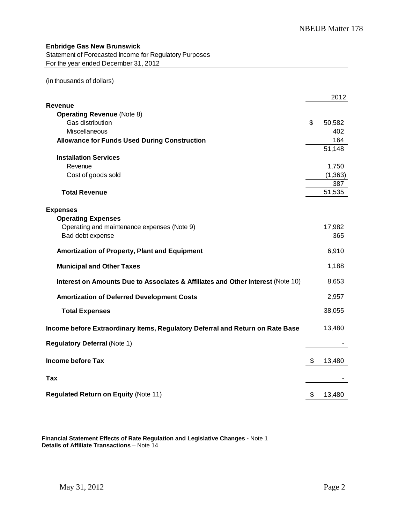#### **Enbridge Gas New Brunswick**

Statement of Forecasted Income for Regulatory Purposes For the year ended December 31, 2012

(in thousands of dollars)

|                                                                                 | 2012         |
|---------------------------------------------------------------------------------|--------------|
| Revenue                                                                         |              |
| <b>Operating Revenue (Note 8)</b>                                               |              |
| Gas distribution                                                                | \$<br>50,582 |
| Miscellaneous                                                                   | 402          |
| <b>Allowance for Funds Used During Construction</b>                             | 164          |
| <b>Installation Services</b>                                                    | 51,148       |
| Revenue                                                                         | 1,750        |
| Cost of goods sold                                                              | (1, 363)     |
|                                                                                 | 387          |
| <b>Total Revenue</b>                                                            | 51,535       |
|                                                                                 |              |
| <b>Expenses</b>                                                                 |              |
| <b>Operating Expenses</b>                                                       |              |
| Operating and maintenance expenses (Note 9)                                     | 17,982       |
| Bad debt expense                                                                | 365          |
| <b>Amortization of Property, Plant and Equipment</b>                            | 6,910        |
| <b>Municipal and Other Taxes</b>                                                | 1,188        |
| Interest on Amounts Due to Associates & Affiliates and Other Interest (Note 10) | 8,653        |
| <b>Amortization of Deferred Development Costs</b>                               | 2,957        |
| <b>Total Expenses</b>                                                           | 38,055       |
|                                                                                 |              |
| Income before Extraordinary Items, Regulatory Deferral and Return on Rate Base  | 13,480       |
| <b>Regulatory Deferral (Note 1)</b>                                             |              |
| <b>Income before Tax</b>                                                        | \$<br>13,480 |
|                                                                                 |              |
| Tax                                                                             |              |
| <b>Regulated Return on Equity (Note 11)</b>                                     | \$<br>13,480 |

**Financial Statement Effects of Rate Regulation and Legislative Changes -** Note 1 **Details of Affiliate Transactions** – Note 14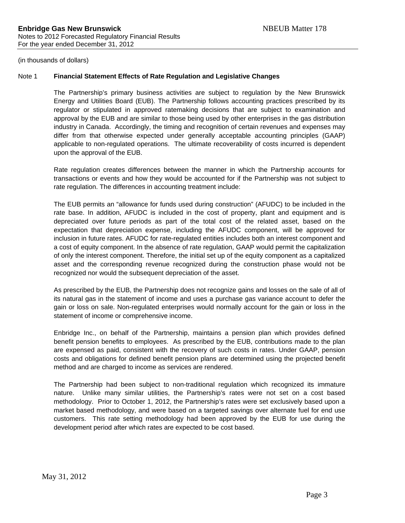#### Note 1 **Financial Statement Effects of Rate Regulation and Legislative Changes**

The Partnership's primary business activities are subject to regulation by the New Brunswick Energy and Utilities Board (EUB). The Partnership follows accounting practices prescribed by its regulator or stipulated in approved ratemaking decisions that are subject to examination and approval by the EUB and are similar to those being used by other enterprises in the gas distribution industry in Canada. Accordingly, the timing and recognition of certain revenues and expenses may differ from that otherwise expected under generally acceptable accounting principles (GAAP) applicable to non-regulated operations. The ultimate recoverability of costs incurred is dependent upon the approval of the EUB.

Rate regulation creates differences between the manner in which the Partnership accounts for transactions or events and how they would be accounted for if the Partnership was not subject to rate regulation. The differences in accounting treatment include:

The EUB permits an "allowance for funds used during construction" (AFUDC) to be included in the rate base. In addition, AFUDC is included in the cost of property, plant and equipment and is depreciated over future periods as part of the total cost of the related asset, based on the expectation that depreciation expense, including the AFUDC component, will be approved for inclusion in future rates. AFUDC for rate-regulated entities includes both an interest component and a cost of equity component. In the absence of rate regulation, GAAP would permit the capitalization of only the interest component. Therefore, the initial set up of the equity component as a capitalized asset and the corresponding revenue recognized during the construction phase would not be recognized nor would the subsequent depreciation of the asset.

As prescribed by the EUB, the Partnership does not recognize gains and losses on the sale of all of its natural gas in the statement of income and uses a purchase gas variance account to defer the gain or loss on sale. Non-regulated enterprises would normally account for the gain or loss in the statement of income or comprehensive income.

Enbridge Inc., on behalf of the Partnership, maintains a pension plan which provides defined benefit pension benefits to employees. As prescribed by the EUB, contributions made to the plan are expensed as paid, consistent with the recovery of such costs in rates. Under GAAP, pension costs and obligations for defined benefit pension plans are determined using the projected benefit method and are charged to income as services are rendered.

The Partnership had been subject to non-traditional regulation which recognized its immature nature. Unlike many similar utilities, the Partnership's rates were not set on a cost based methodology. Prior to October 1, 2012, the Partnership's rates were set exclusively based upon a market based methodology, and were based on a targeted savings over alternate fuel for end use customers. This rate setting methodology had been approved by the EUB for use during the development period after which rates are expected to be cost based.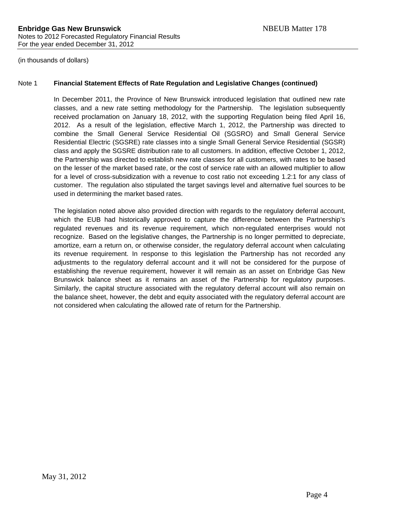#### Note 1 **Financial Statement Effects of Rate Regulation and Legislative Changes (continued)**

In December 2011, the Province of New Brunswick introduced legislation that outlined new rate classes, and a new rate setting methodology for the Partnership. The legislation subsequently received proclamation on January 18, 2012, with the supporting Regulation being filed April 16, 2012. As a result of the legislation, effective March 1, 2012, the Partnership was directed to combine the Small General Service Residential Oil (SGSRO) and Small General Service Residential Electric (SGSRE) rate classes into a single Small General Service Residential (SGSR) class and apply the SGSRE distribution rate to all customers. In addition, effective October 1, 2012, the Partnership was directed to establish new rate classes for all customers, with rates to be based on the lesser of the market based rate, or the cost of service rate with an allowed multiplier to allow for a level of cross-subsidization with a revenue to cost ratio not exceeding 1.2:1 for any class of customer. The regulation also stipulated the target savings level and alternative fuel sources to be used in determining the market based rates.

The legislation noted above also provided direction with regards to the regulatory deferral account, which the EUB had historically approved to capture the difference between the Partnership's regulated revenues and its revenue requirement, which non-regulated enterprises would not recognize. Based on the legislative changes, the Partnership is no longer permitted to depreciate, amortize, earn a return on, or otherwise consider, the regulatory deferral account when calculating its revenue requirement. In response to this legislation the Partnership has not recorded any adjustments to the regulatory deferral account and it will not be considered for the purpose of establishing the revenue requirement, however it will remain as an asset on Enbridge Gas New Brunswick balance sheet as it remains an asset of the Partnership for regulatory purposes. Similarly, the capital structure associated with the regulatory deferral account will also remain on the balance sheet, however, the debt and equity associated with the regulatory deferral account are not considered when calculating the allowed rate of return for the Partnership.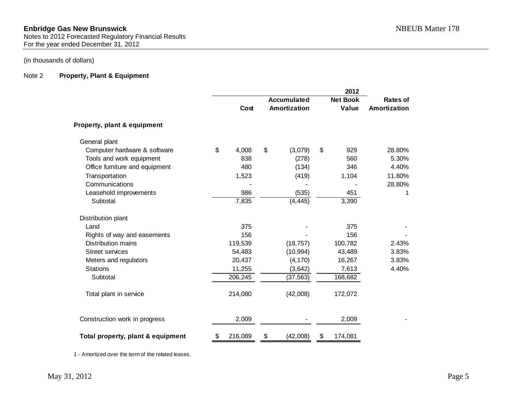Notes to 2012 Forecasted Regulatory Financial Results For the year ended December 31, 2012

### (in thousands of dollars)

#### Note 2 **Property, Plant & Equipment**

|                                   |               |                    | 2012            |              |
|-----------------------------------|---------------|--------------------|-----------------|--------------|
|                                   |               | <b>Accumulated</b> | <b>Net Book</b> | Rates of     |
|                                   | Cost          | Amortization       | Value           | Amortization |
| Property, plant & equipment       |               |                    |                 |              |
| General plant                     |               |                    |                 |              |
| Computer hardware & software      | \$<br>4,008   | \$<br>(3,079)      | \$<br>929       | 28.80%       |
| Tools and work equipment          | 838           | (278)              | 560             | 5.30%        |
| Office furniture and equipment    | 480           | (134)              | 346             | 4.40%        |
| Transportation                    | 1,523         | (419)              | 1,104           | 11.80%       |
| Communications                    |               |                    |                 | 28.80%       |
| Leasehold improvements            | 986           | (535)              | 451             | 1            |
| Subtotal                          | 7,835         | (4, 445)           | 3,390           |              |
| Distribution plant                |               |                    |                 |              |
| Land                              | 375           |                    | 375             |              |
| Rights of way and easements       | 156           |                    | 156             |              |
| <b>Distribution mains</b>         | 119,539       | (18, 757)          | 100,782         | 2.43%        |
| <b>Street services</b>            | 54,483        | (10, 994)          | 43,489          | 3.83%        |
| Meters and regulators             | 20,437        | (4, 170)           | 16,267          | 3.83%        |
| <b>Stations</b>                   | 11,255        | (3,642)            | 7,613           | 4.40%        |
| Subtotal                          | 206,245       | (37, 563)          | 168,682         |              |
| Total plant in service            | 214,080       | (42,008)           | 172,072         |              |
| Construction work in progress     | 2,009         |                    | 2,009           |              |
| Total property, plant & equipment | \$<br>216,089 | \$<br>(42,008)     | \$<br>174,081   |              |

1 - Amortized over the term of the related leases.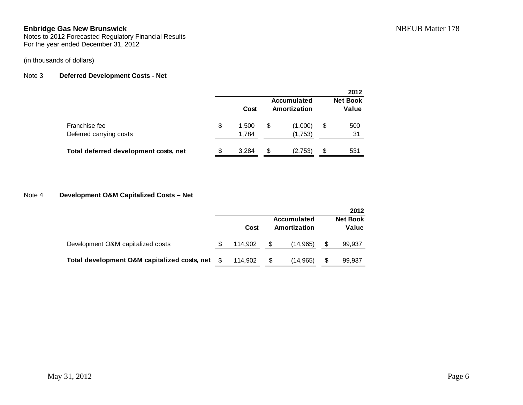Notes to 2012 Forecasted Regulatory Financial Results For the year ended December 31, 2012

#### (in thousands of dollars)

#### Note 3 **Deferred Development Costs - Net**

|                                          |    |                |    |                             |    | 2012                     |
|------------------------------------------|----|----------------|----|-----------------------------|----|--------------------------|
|                                          |    | Cost           |    | Accumulated<br>Amortization |    | <b>Net Book</b><br>Value |
| Franchise fee<br>Deferred carrying costs | \$ | 1.500<br>1,784 | S  | (1,000)<br>(1,753)          | \$ | 500<br>31                |
| Total deferred development costs, net    | S  | 3.284          | \$ | (2,753)                     | S  | 531                      |

#### Note 4 **Development O&M Capitalized Costs – Net**

|                                              |         |   |                             | 2012                     |
|----------------------------------------------|---------|---|-----------------------------|--------------------------|
|                                              | Cost    |   | Accumulated<br>Amortization | <b>Net Book</b><br>Value |
| Development O&M capitalized costs            | 114.902 | S | (14,965)                    | 99,937                   |
| Total development O&M capitalized costs, net | 114.902 | S | (14,965)                    | 99,937                   |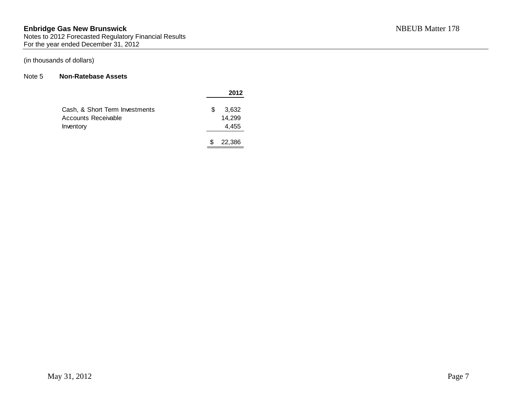Notes to 2012 Forecasted Regulatory Financial Results For the year ended December 31, 2012

## (in thousands of dollars)

### Note 5 **Non-Ratebase Assets**

|                                | 2012        |
|--------------------------------|-------------|
| Cash, & Short Term Investments | \$<br>3,632 |
| Accounts Receivable            | 14.299      |
| Inventory                      | 4,455       |
|                                | 22,386      |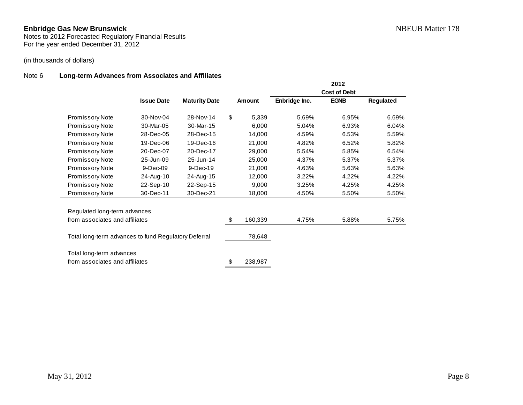#### Note 6 **Long-term Advances from Associates and Affiliates**

|                                                      |                   |                      |               |               | 2012                |           |
|------------------------------------------------------|-------------------|----------------------|---------------|---------------|---------------------|-----------|
|                                                      |                   |                      |               |               | <b>Cost of Debt</b> |           |
|                                                      | <b>Issue Date</b> | <b>Maturity Date</b> | Amount        | Enbridge Inc. | <b>EGNB</b>         | Regulated |
| Promissory Note                                      | 30-Nov-04         | 28-Nov-14            | \$<br>5,339   | 5.69%         | 6.95%               | 6.69%     |
| Promissory Note                                      | 30-Mar-05         | 30-Mar-15            | 6,000         | 5.04%         | 6.93%               | 6.04%     |
| Promissory Note                                      | 28-Dec-05         | 28-Dec-15            | 14,000        | 4.59%         | 6.53%               | 5.59%     |
| Promissory Note                                      | 19-Dec-06         | 19-Dec-16            | 21,000        | 4.82%         | 6.52%               | 5.82%     |
| Promissory Note                                      | 20-Dec-07         | 20-Dec-17            | 29,000        | 5.54%         | 5.85%               | 6.54%     |
| Promissory Note                                      | 25-Jun-09         | 25-Jun-14            | 25,000        | 4.37%         | 5.37%               | 5.37%     |
| Promissory Note                                      | 9-Dec-09          | $9-Dec-19$           | 21,000        | 4.63%         | 5.63%               | 5.63%     |
| Promissory Note                                      | 24-Aug-10         | 24-Aug-15            | 12,000        | 3.22%         | 4.22%               | 4.22%     |
| Promissory Note                                      | 22-Sep-10         | 22-Sep-15            | 9,000         | 3.25%         | 4.25%               | 4.25%     |
| Promissory Note                                      | 30-Dec-11         | 30-Dec-21            | 18,000        | 4.50%         | 5.50%               | 5.50%     |
| Regulated long-term advances                         |                   |                      |               |               |                     |           |
| from associates and affiliates                       |                   |                      | \$<br>160,339 | 4.75%         | 5.88%               | 5.75%     |
| Total long-term advances to fund Regulatory Deferral |                   |                      | 78,648        |               |                     |           |
| Total long-term advances                             |                   |                      |               |               |                     |           |
| from associates and affiliates                       |                   |                      | \$<br>238,987 |               |                     |           |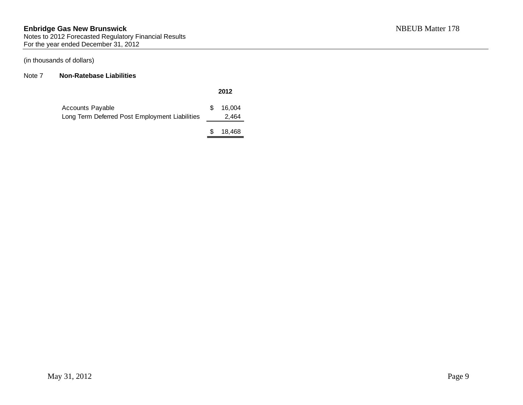Notes to 2012 Forecasted Regulatory Financial Results For the year ended December 31, 2012

(in thousands of dollars)

#### Note 7 **Non-Ratebase Liabilities**

|                                                                    |    | 2012            |
|--------------------------------------------------------------------|----|-----------------|
| Accounts Payable<br>Long Term Deferred Post Employment Liabilities | S. | 16.004<br>2,464 |
|                                                                    |    |                 |

\$ 18,468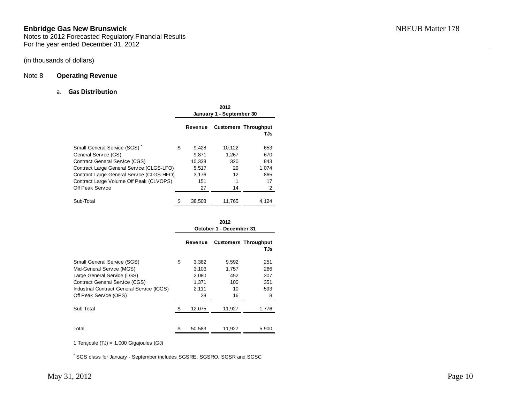#### Note 8 **Operating Revenue**

#### a. **Gas Distribution**

|                                                                                      |   | 2012<br>January 1 - September 30 |                 |                                    |  |  |
|--------------------------------------------------------------------------------------|---|----------------------------------|-----------------|------------------------------------|--|--|
|                                                                                      |   | <b>Revenue</b>                   |                 | <b>Customers Throughput</b><br>TJs |  |  |
| Small General Service (SGS)<br>General Service (GS)                                  | S | 9.428<br>9.871                   | 10,122<br>1,267 | 653<br>670                         |  |  |
| Contract General Service (CGS)<br>Contract Large General Service (CLGS-LFO)          |   | 10,338<br>5,517                  | 320<br>29       | 843<br>1.074                       |  |  |
| Contract Large General Service (CLGS-HFO)<br>Contract Large Volume Off Peak (CLVOPS) |   | 3.176<br>151                     | 12              | 865<br>17                          |  |  |
| Off Peak Service                                                                     |   | 27                               | 14              | 2                                  |  |  |
| Sub-Total                                                                            |   | 38,508                           | 11,765          | 4,124                              |  |  |

|                                                                                                                                                                                                          | 2012<br>October 1 - December 31 |                                                 |                                          |                                      |  |  |
|----------------------------------------------------------------------------------------------------------------------------------------------------------------------------------------------------------|---------------------------------|-------------------------------------------------|------------------------------------------|--------------------------------------|--|--|
|                                                                                                                                                                                                          |                                 | <b>Revenue</b>                                  |                                          | <b>Customers Throughput</b><br>TJs   |  |  |
| <b>Small General Service (SGS)</b><br>Mid-General Service (MGS)<br>Large General Service (LGS)<br>Contract General Service (CGS)<br>Industrial Contract General Service (ICGS)<br>Off Peak Service (OPS) | \$                              | 3,382<br>3,103<br>2,080<br>1,371<br>2.111<br>28 | 9,592<br>1,757<br>452<br>100<br>10<br>16 | 251<br>266<br>307<br>351<br>593<br>8 |  |  |
| Sub-Total                                                                                                                                                                                                | \$.                             | 12,075                                          | 11,927                                   | 1,776                                |  |  |
| Total                                                                                                                                                                                                    |                                 | 50,583                                          | 11,927                                   | 5,900                                |  |  |

1 Terajoule (TJ) = 1,000 Gigajoules (GJ)

\* SGS class for January - September includes SGSRE, SGSRO, SGSR and SGSC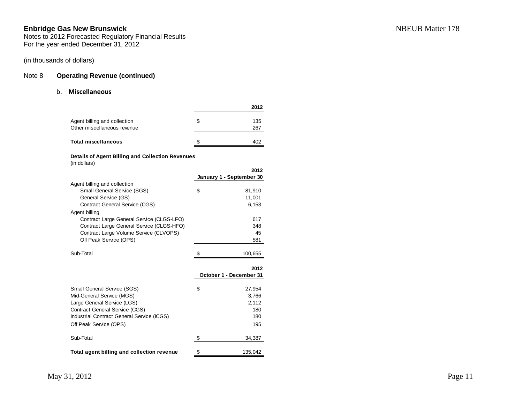#### Note 8 **Operating Revenue (continued)**

#### b. **Miscellaneous**

|                                                             |    | 2012       |
|-------------------------------------------------------------|----|------------|
| Agent billing and collection<br>Other miscellaneous revenue | S  | 135<br>267 |
| Total miscellaneous                                         | \$ |            |

#### **Details of Agent Billing and Collection Revenues**

(in dollars)

|                                            |     | 2012                     |
|--------------------------------------------|-----|--------------------------|
|                                            |     | January 1 - September 30 |
| Agent billing and collection               |     |                          |
| Small General Service (SGS)                | \$  | 81,910                   |
| General Service (GS)                       |     | 11,001                   |
| <b>Contract General Service (CGS)</b>      |     | 6,153                    |
| Agent billing                              |     |                          |
| Contract Large General Service (CLGS-LFO)  |     | 617                      |
| Contract Large General Service (CLGS-HFO)  |     | 348                      |
| Contract Large Volume Service (CLVOPS)     |     | 45                       |
| Off Peak Service (OPS)                     |     | 581                      |
|                                            |     |                          |
| Sub-Total                                  | \$. | 100,655                  |
|                                            |     |                          |
|                                            |     | 2012                     |
|                                            |     | October 1 - December 31  |
| <b>Small General Service (SGS)</b>         | \$  | 27,954                   |
| Mid-General Service (MGS)                  |     | 3,766                    |
| Large General Service (LGS)                |     | 2,112                    |
| <b>Contract General Service (CGS)</b>      |     | 180                      |
| Industrial Contract General Service (ICGS) |     | 180                      |
| Off Peak Service (OPS)                     |     | 195                      |
|                                            |     |                          |
| Sub-Total                                  | \$  | 34,387                   |
| Total agent billing and collection revenue | \$  | 135,042                  |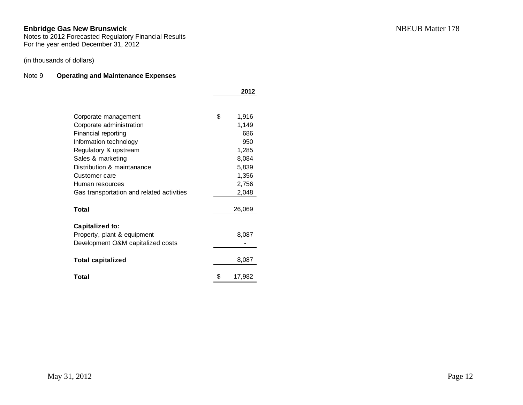Notes to 2012 Forecasted Regulatory Financial Results For the year ended December 31, 2012

### (in thousands of dollars)

#### Note 9 **Operating and Maintenance Expenses**

|                                           | 2012         |
|-------------------------------------------|--------------|
|                                           |              |
| Corporate management                      | \$<br>1,916  |
| Corporate administration                  | 1,149        |
| Financial reporting                       | 686          |
| Information technology                    | 950          |
| Regulatory & upstream                     | 1,285        |
| Sales & marketing                         | 8,084        |
| Distribution & maintanance                | 5,839        |
| Customer care                             | 1,356        |
| Human resources                           | 2,756        |
| Gas transportation and related activities | 2,048        |
|                                           |              |
| Total                                     | 26,069       |
|                                           |              |
| Capitalized to:                           |              |
| Property, plant & equipment               | 8,087        |
| Development O&M capitalized costs         |              |
|                                           |              |
| <b>Total capitalized</b>                  | 8,087        |
| Total                                     | \$<br>17,982 |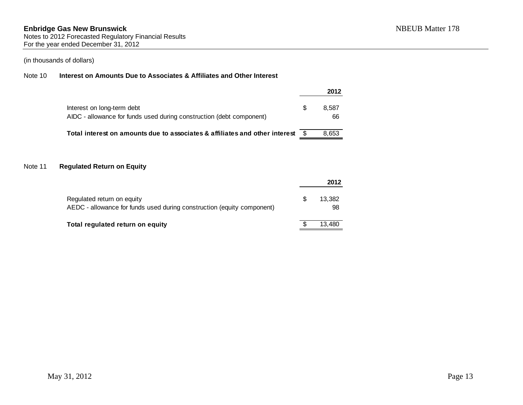## Note 10 **Interest on Amounts Due to Associates & Affiliates and Other Interest**

|                                                                                                    |     | 2012        |
|----------------------------------------------------------------------------------------------------|-----|-------------|
| Interest on long-term debt<br>AIDC - allowance for funds used during construction (debt component) | \$. | 8.587<br>66 |
| Total interest on amounts due to associates & affiliates and other interest                        |     | 8,653       |

### Note 11 **Regulated Return on Equity**

|                                                                                                      |   | 2012         |
|------------------------------------------------------------------------------------------------------|---|--------------|
| Regulated return on equity<br>AEDC - allowance for funds used during construction (equity component) | S | 13.382<br>98 |
| Total regulated return on equity                                                                     |   | 13.480       |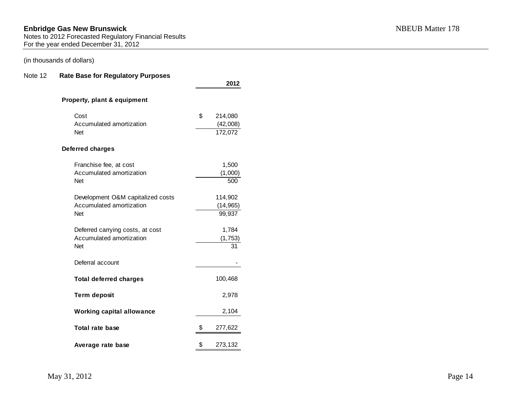## (in thousands of dollars)

#### Note 12 **Rate Base for Regulatory Purposes**

|                                   | 2012          |
|-----------------------------------|---------------|
| Property, plant & equipment       |               |
| Cost                              | \$<br>214,080 |
| Accumulated amortization          | (42,008)      |
| <b>Net</b>                        | 172,072       |
| Deferred charges                  |               |
| Franchise fee, at cost            | 1,500         |
| Accumulated amortization          | (1,000)       |
| <b>Net</b>                        | 500           |
| Development O&M capitalized costs | 114,902       |
| Accumulated amortization          | (14, 965)     |
| <b>Net</b>                        | 99,937        |
| Deferred carrying costs, at cost  | 1,784         |
| Accumulated amortization          | (1, 753)      |
| <b>Net</b>                        | 31            |
| Deferral account                  |               |
| <b>Total deferred charges</b>     | 100,468       |
| <b>Term deposit</b>               | 2,978         |
| <b>Working capital allowance</b>  | 2,104         |
| Total rate base                   | \$<br>277,622 |
| Average rate base                 | \$<br>273,132 |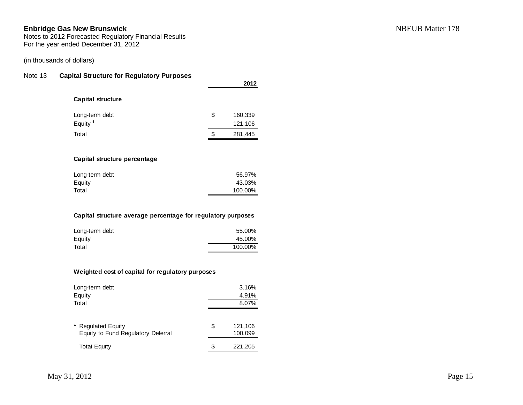Notes to 2012 Forecasted Regulatory Financial Results For the year ended December 31, 2012

#### (in thousands of dollars)

#### Note 13 **Capital Structure for Regulatory Purposes**

|                                                                                                   | 2012                        |
|---------------------------------------------------------------------------------------------------|-----------------------------|
| <b>Capital structure</b>                                                                          |                             |
| Long-term debt                                                                                    | \$<br>160,339               |
| Equity <sup>1</sup>                                                                               | 121,106                     |
| Total                                                                                             | \$<br>281,445               |
| Capital structure percentage                                                                      |                             |
| Long-term debt                                                                                    | 56.97%                      |
|                                                                                                   | 43.03%                      |
| Equity                                                                                            |                             |
| Total                                                                                             | 100.00%                     |
| Capital structure average percentage for regulatory purposes<br>Long-term debt<br>Equity<br>Total | 55.00%<br>45.00%<br>100.00% |
| Weighted cost of capital for regulatory purposes                                                  |                             |
| Long-term debt                                                                                    | 3.16%                       |
| Equity<br>Total                                                                                   | 4.91%                       |